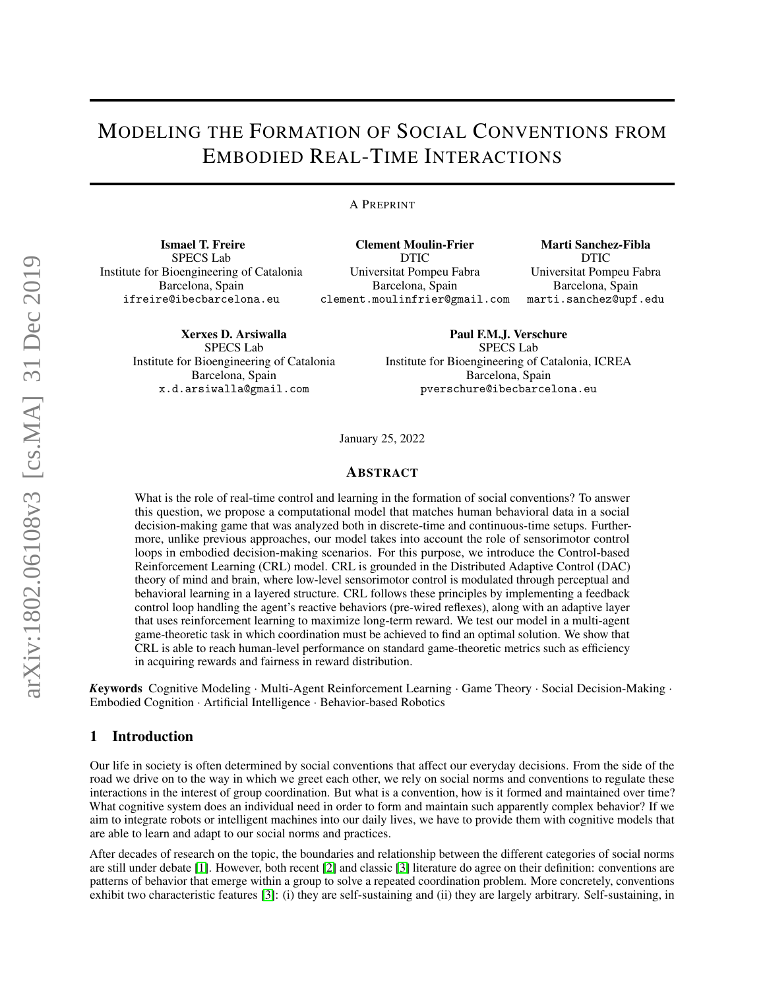# MODELING THE FORMATION OF SOCIAL CONVENTIONS FROM EMBODIED REAL-TIME INTERACTIONS

A PREPRINT

Ismael T. Freire SPECS Lab Institute for Bioengineering of Catalonia Barcelona, Spain ifreire@ibecbarcelona.eu

> Xerxes D. Arsiwalla SPECS Lab Institute for Bioengineering of Catalonia Barcelona, Spain x.d.arsiwalla@gmail.com

Clement Moulin-Frier DTIC Universitat Pompeu Fabra Barcelona, Spain clement.moulinfrier@gmail.com

Marti Sanchez-Fibla DTIC Universitat Pompeu Fabra Barcelona, Spain marti.sanchez@upf.edu

Paul F.M.J. Verschure SPECS Lab Institute for Bioengineering of Catalonia, ICREA Barcelona, Spain pverschure@ibecbarcelona.eu

January 25, 2022

#### ABSTRACT

What is the role of real-time control and learning in the formation of social conventions? To answer this question, we propose a computational model that matches human behavioral data in a social decision-making game that was analyzed both in discrete-time and continuous-time setups. Furthermore, unlike previous approaches, our model takes into account the role of sensorimotor control loops in embodied decision-making scenarios. For this purpose, we introduce the Control-based Reinforcement Learning (CRL) model. CRL is grounded in the Distributed Adaptive Control (DAC) theory of mind and brain, where low-level sensorimotor control is modulated through perceptual and behavioral learning in a layered structure. CRL follows these principles by implementing a feedback control loop handling the agent's reactive behaviors (pre-wired reflexes), along with an adaptive layer that uses reinforcement learning to maximize long-term reward. We test our model in a multi-agent game-theoretic task in which coordination must be achieved to find an optimal solution. We show that CRL is able to reach human-level performance on standard game-theoretic metrics such as efficiency in acquiring rewards and fairness in reward distribution.

*K*eywords Cognitive Modeling · Multi-Agent Reinforcement Learning · Game Theory · Social Decision-Making · Embodied Cognition · Artificial Intelligence · Behavior-based Robotics

#### 1 Introduction

Our life in society is often determined by social conventions that affect our everyday decisions. From the side of the road we drive on to the way in which we greet each other, we rely on social norms and conventions to regulate these interactions in the interest of group coordination. But what is a convention, how is it formed and maintained over time? What cognitive system does an individual need in order to form and maintain such apparently complex behavior? If we aim to integrate robots or intelligent machines into our daily lives, we have to provide them with cognitive models that are able to learn and adapt to our social norms and practices.

After decades of research on the topic, the boundaries and relationship between the different categories of social norms are still under debate [\[1\]](#page-12-0). However, both recent [\[2\]](#page-12-1) and classic [\[3\]](#page-12-2) literature do agree on their definition: conventions are patterns of behavior that emerge within a group to solve a repeated coordination problem. More concretely, conventions exhibit two characteristic features [\[3\]](#page-12-2): (i) they are self-sustaining and (ii) they are largely arbitrary. Self-sustaining, in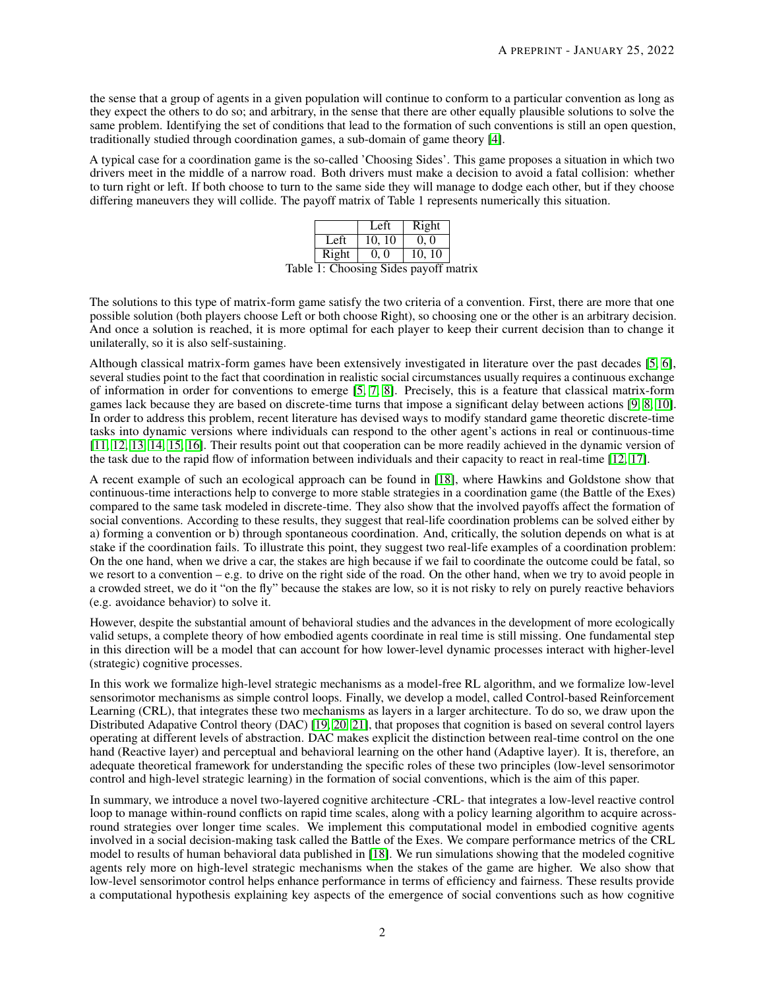the sense that a group of agents in a given population will continue to conform to a particular convention as long as they expect the others to do so; and arbitrary, in the sense that there are other equally plausible solutions to solve the same problem. Identifying the set of conditions that lead to the formation of such conventions is still an open question, traditionally studied through coordination games, a sub-domain of game theory [\[4\]](#page-12-3).

A typical case for a coordination game is the so-called 'Choosing Sides'. This game proposes a situation in which two drivers meet in the middle of a narrow road. Both drivers must make a decision to avoid a fatal collision: whether to turn right or left. If both choose to turn to the same side they will manage to dodge each other, but if they choose differing maneuvers they will collide. The payoff matrix of Table 1 represents numerically this situation.

|       |       | Left   | Right  |  |
|-------|-------|--------|--------|--|
|       | Left  | 10, 10 | 0, 0   |  |
|       | Right | 0.0    | 10, 10 |  |
| - 1 - | .     |        |        |  |

Table 1: Choosing Sides payoff matrix

The solutions to this type of matrix-form game satisfy the two criteria of a convention. First, there are more that one possible solution (both players choose Left or both choose Right), so choosing one or the other is an arbitrary decision. And once a solution is reached, it is more optimal for each player to keep their current decision than to change it unilaterally, so it is also self-sustaining.

Although classical matrix-form games have been extensively investigated in literature over the past decades [\[5,](#page-12-4) [6\]](#page-12-5), several studies point to the fact that coordination in realistic social circumstances usually requires a continuous exchange of information in order for conventions to emerge [\[5,](#page-12-4) [7,](#page-12-6) [8\]](#page-12-7). Precisely, this is a feature that classical matrix-form games lack because they are based on discrete-time turns that impose a significant delay between actions [\[9,](#page-12-8) [8,](#page-12-7) [10\]](#page-12-9). In order to address this problem, recent literature has devised ways to modify standard game theoretic discrete-time tasks into dynamic versions where individuals can respond to the other agent's actions in real or continuous-time [\[11,](#page-13-0) [12,](#page-13-1) [13,](#page-13-2) [14,](#page-13-3) [15,](#page-13-4) [16\]](#page-13-5). Their results point out that cooperation can be more readily achieved in the dynamic version of the task due to the rapid flow of information between individuals and their capacity to react in real-time [\[12,](#page-13-1) [17\]](#page-13-6).

A recent example of such an ecological approach can be found in [\[18\]](#page-13-7), where Hawkins and Goldstone show that continuous-time interactions help to converge to more stable strategies in a coordination game (the Battle of the Exes) compared to the same task modeled in discrete-time. They also show that the involved payoffs affect the formation of social conventions. According to these results, they suggest that real-life coordination problems can be solved either by a) forming a convention or b) through spontaneous coordination. And, critically, the solution depends on what is at stake if the coordination fails. To illustrate this point, they suggest two real-life examples of a coordination problem: On the one hand, when we drive a car, the stakes are high because if we fail to coordinate the outcome could be fatal, so we resort to a convention – e.g. to drive on the right side of the road. On the other hand, when we try to avoid people in a crowded street, we do it "on the fly" because the stakes are low, so it is not risky to rely on purely reactive behaviors (e.g. avoidance behavior) to solve it.

However, despite the substantial amount of behavioral studies and the advances in the development of more ecologically valid setups, a complete theory of how embodied agents coordinate in real time is still missing. One fundamental step in this direction will be a model that can account for how lower-level dynamic processes interact with higher-level (strategic) cognitive processes.

In this work we formalize high-level strategic mechanisms as a model-free RL algorithm, and we formalize low-level sensorimotor mechanisms as simple control loops. Finally, we develop a model, called Control-based Reinforcement Learning (CRL), that integrates these two mechanisms as layers in a larger architecture. To do so, we draw upon the Distributed Adapative Control theory (DAC) [\[19,](#page-13-8) [20,](#page-13-9) [21\]](#page-13-10), that proposes that cognition is based on several control layers operating at different levels of abstraction. DAC makes explicit the distinction between real-time control on the one hand (Reactive layer) and perceptual and behavioral learning on the other hand (Adaptive layer). It is, therefore, an adequate theoretical framework for understanding the specific roles of these two principles (low-level sensorimotor control and high-level strategic learning) in the formation of social conventions, which is the aim of this paper.

In summary, we introduce a novel two-layered cognitive architecture -CRL- that integrates a low-level reactive control loop to manage within-round conflicts on rapid time scales, along with a policy learning algorithm to acquire acrossround strategies over longer time scales. We implement this computational model in embodied cognitive agents involved in a social decision-making task called the Battle of the Exes. We compare performance metrics of the CRL model to results of human behavioral data published in [\[18\]](#page-13-7). We run simulations showing that the modeled cognitive agents rely more on high-level strategic mechanisms when the stakes of the game are higher. We also show that low-level sensorimotor control helps enhance performance in terms of efficiency and fairness. These results provide a computational hypothesis explaining key aspects of the emergence of social conventions such as how cognitive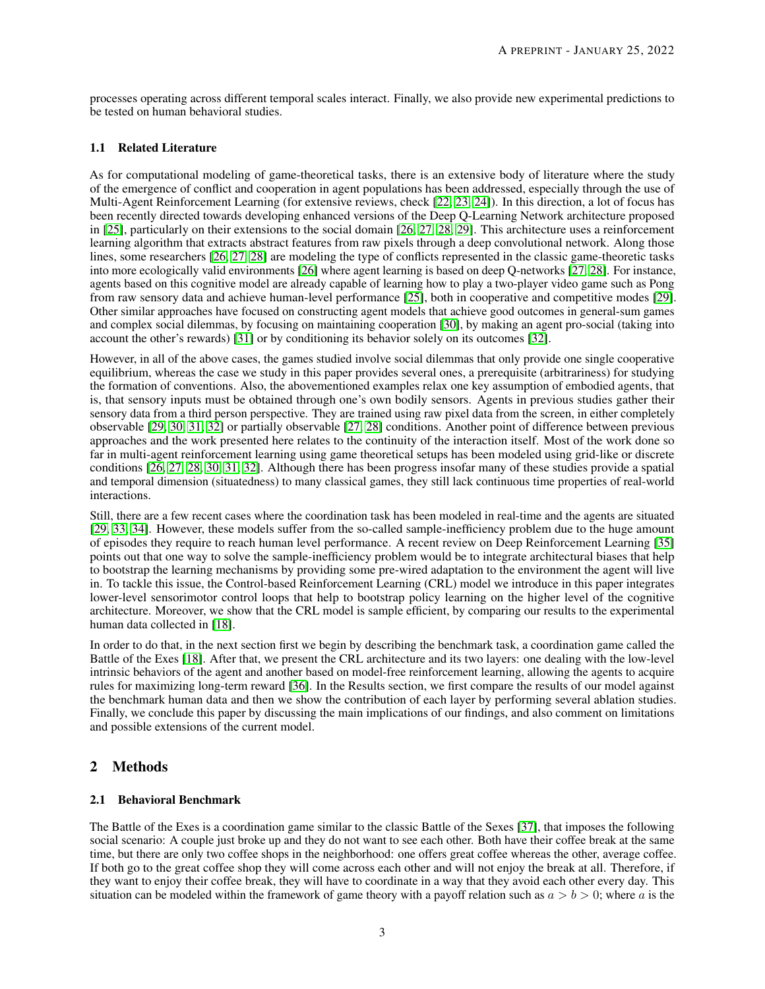processes operating across different temporal scales interact. Finally, we also provide new experimental predictions to be tested on human behavioral studies.

# 1.1 Related Literature

As for computational modeling of game-theoretical tasks, there is an extensive body of literature where the study of the emergence of conflict and cooperation in agent populations has been addressed, especially through the use of Multi-Agent Reinforcement Learning (for extensive reviews, check [\[22,](#page-13-11) [23,](#page-13-12) [24\]](#page-13-13)). In this direction, a lot of focus has been recently directed towards developing enhanced versions of the Deep Q-Learning Network architecture proposed in [\[25\]](#page-13-14), particularly on their extensions to the social domain [\[26,](#page-13-15) [27,](#page-13-16) [28,](#page-13-17) [29\]](#page-13-18). This architecture uses a reinforcement learning algorithm that extracts abstract features from raw pixels through a deep convolutional network. Along those lines, some researchers [\[26,](#page-13-15) [27,](#page-13-16) [28\]](#page-13-17) are modeling the type of conflicts represented in the classic game-theoretic tasks into more ecologically valid environments [\[26\]](#page-13-15) where agent learning is based on deep Q-networks [\[27,](#page-13-16) [28\]](#page-13-17). For instance, agents based on this cognitive model are already capable of learning how to play a two-player video game such as Pong from raw sensory data and achieve human-level performance [\[25\]](#page-13-14), both in cooperative and competitive modes [\[29\]](#page-13-18). Other similar approaches have focused on constructing agent models that achieve good outcomes in general-sum games and complex social dilemmas, by focusing on maintaining cooperation [\[30\]](#page-13-19), by making an agent pro-social (taking into account the other's rewards) [\[31\]](#page-13-20) or by conditioning its behavior solely on its outcomes [\[32\]](#page-13-21).

However, in all of the above cases, the games studied involve social dilemmas that only provide one single cooperative equilibrium, whereas the case we study in this paper provides several ones, a prerequisite (arbitrariness) for studying the formation of conventions. Also, the abovementioned examples relax one key assumption of embodied agents, that is, that sensory inputs must be obtained through one's own bodily sensors. Agents in previous studies gather their sensory data from a third person perspective. They are trained using raw pixel data from the screen, in either completely observable [\[29,](#page-13-18) [30,](#page-13-19) [31,](#page-13-20) [32\]](#page-13-21) or partially observable [\[27,](#page-13-16) [28\]](#page-13-17) conditions. Another point of difference between previous approaches and the work presented here relates to the continuity of the interaction itself. Most of the work done so far in multi-agent reinforcement learning using game theoretical setups has been modeled using grid-like or discrete conditions [\[26,](#page-13-15) [27,](#page-13-16) [28,](#page-13-17) [30,](#page-13-19) [31,](#page-13-20) [32\]](#page-13-21). Although there has been progress insofar many of these studies provide a spatial and temporal dimension (situatedness) to many classical games, they still lack continuous time properties of real-world interactions.

Still, there are a few recent cases where the coordination task has been modeled in real-time and the agents are situated [\[29,](#page-13-18) [33,](#page-14-0) [34\]](#page-14-1). However, these models suffer from the so-called sample-inefficiency problem due to the huge amount of episodes they require to reach human level performance. A recent review on Deep Reinforcement Learning [\[35\]](#page-14-2) points out that one way to solve the sample-inefficiency problem would be to integrate architectural biases that help to bootstrap the learning mechanisms by providing some pre-wired adaptation to the environment the agent will live in. To tackle this issue, the Control-based Reinforcement Learning (CRL) model we introduce in this paper integrates lower-level sensorimotor control loops that help to bootstrap policy learning on the higher level of the cognitive architecture. Moreover, we show that the CRL model is sample efficient, by comparing our results to the experimental human data collected in [\[18\]](#page-13-7).

In order to do that, in the next section first we begin by describing the benchmark task, a coordination game called the Battle of the Exes [\[18\]](#page-13-7). After that, we present the CRL architecture and its two layers: one dealing with the low-level intrinsic behaviors of the agent and another based on model-free reinforcement learning, allowing the agents to acquire rules for maximizing long-term reward [\[36\]](#page-14-3). In the Results section, we first compare the results of our model against the benchmark human data and then we show the contribution of each layer by performing several ablation studies. Finally, we conclude this paper by discussing the main implications of our findings, and also comment on limitations and possible extensions of the current model.

# 2 Methods

# 2.1 Behavioral Benchmark

The Battle of the Exes is a coordination game similar to the classic Battle of the Sexes [\[37\]](#page-14-4), that imposes the following social scenario: A couple just broke up and they do not want to see each other. Both have their coffee break at the same time, but there are only two coffee shops in the neighborhood: one offers great coffee whereas the other, average coffee. If both go to the great coffee shop they will come across each other and will not enjoy the break at all. Therefore, if they want to enjoy their coffee break, they will have to coordinate in a way that they avoid each other every day. This situation can be modeled within the framework of game theory with a payoff relation such as  $a > b > 0$ ; where a is the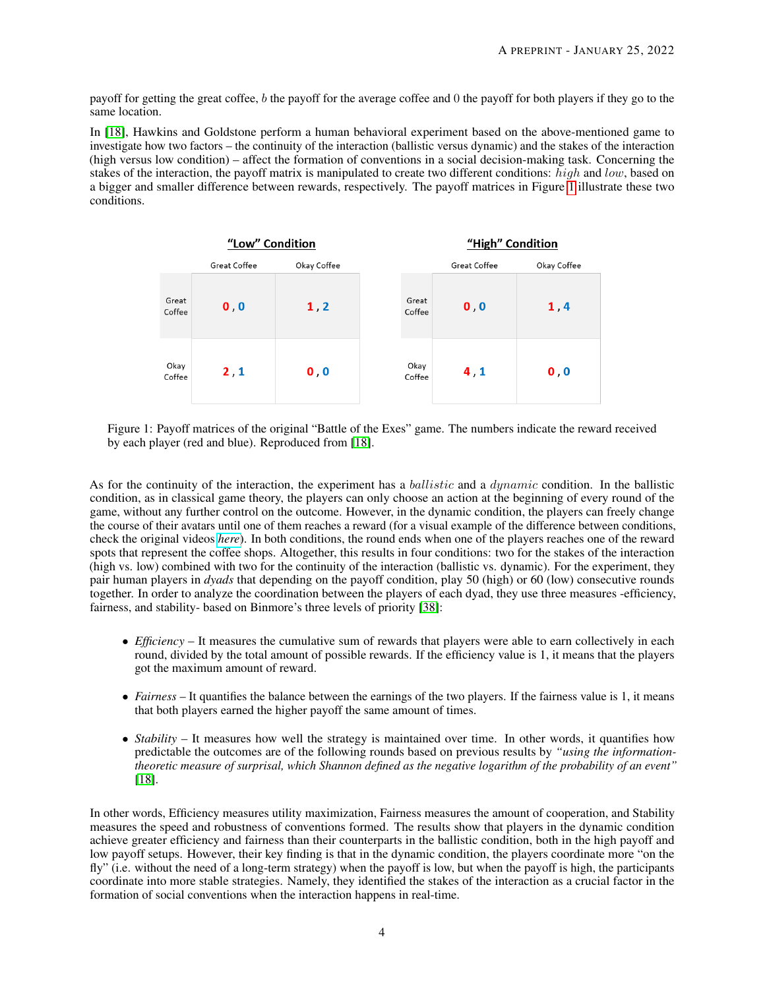payoff for getting the great coffee, b the payoff for the average coffee and  $\theta$  the payoff for both players if they go to the same location.

In [\[18\]](#page-13-7), Hawkins and Goldstone perform a human behavioral experiment based on the above-mentioned game to investigate how two factors – the continuity of the interaction (ballistic versus dynamic) and the stakes of the interaction (high versus low condition) – affect the formation of conventions in a social decision-making task. Concerning the stakes of the interaction, the payoff matrix is manipulated to create two different conditions:  $high$  and  $low$ , based on a bigger and smaller difference between rewards, respectively. The payoff matrices in Figure [1](#page-3-0) illustrate these two conditions.

<span id="page-3-0"></span>

Figure 1: Payoff matrices of the original "Battle of the Exes" game. The numbers indicate the reward received by each player (red and blue). Reproduced from [\[18\]](#page-13-7).

As for the continuity of the interaction, the experiment has a *ballistic* and a *dynamic* condition. In the ballistic condition, as in classical game theory, the players can only choose an action at the beginning of every round of the game, without any further control on the outcome. However, in the dynamic condition, the players can freely change the course of their avatars until one of them reaches a reward (for a visual example of the difference between conditions, check the original videos *[here](http://journals.plos.org/plosone/article?id=10.1371/journal.pone.0151670#pone.0151670.s001)*). In both conditions, the round ends when one of the players reaches one of the reward spots that represent the coffee shops. Altogether, this results in four conditions: two for the stakes of the interaction (high vs. low) combined with two for the continuity of the interaction (ballistic vs. dynamic). For the experiment, they pair human players in *dyads* that depending on the payoff condition, play 50 (high) or 60 (low) consecutive rounds together. In order to analyze the coordination between the players of each dyad, they use three measures -efficiency, fairness, and stability- based on Binmore's three levels of priority [\[38\]](#page-14-5):

- *Efficiency* It measures the cumulative sum of rewards that players were able to earn collectively in each round, divided by the total amount of possible rewards. If the efficiency value is 1, it means that the players got the maximum amount of reward.
- *Fairness* It quantifies the balance between the earnings of the two players. If the fairness value is 1, it means that both players earned the higher payoff the same amount of times.
- *Stability* It measures how well the strategy is maintained over time. In other words, it quantifies how predictable the outcomes are of the following rounds based on previous results by *"using the informationtheoretic measure of surprisal, which Shannon defined as the negative logarithm of the probability of an event"* [\[18\]](#page-13-7).

In other words, Efficiency measures utility maximization, Fairness measures the amount of cooperation, and Stability measures the speed and robustness of conventions formed. The results show that players in the dynamic condition achieve greater efficiency and fairness than their counterparts in the ballistic condition, both in the high payoff and low payoff setups. However, their key finding is that in the dynamic condition, the players coordinate more "on the fly" (i.e. without the need of a long-term strategy) when the payoff is low, but when the payoff is high, the participants coordinate into more stable strategies. Namely, they identified the stakes of the interaction as a crucial factor in the formation of social conventions when the interaction happens in real-time.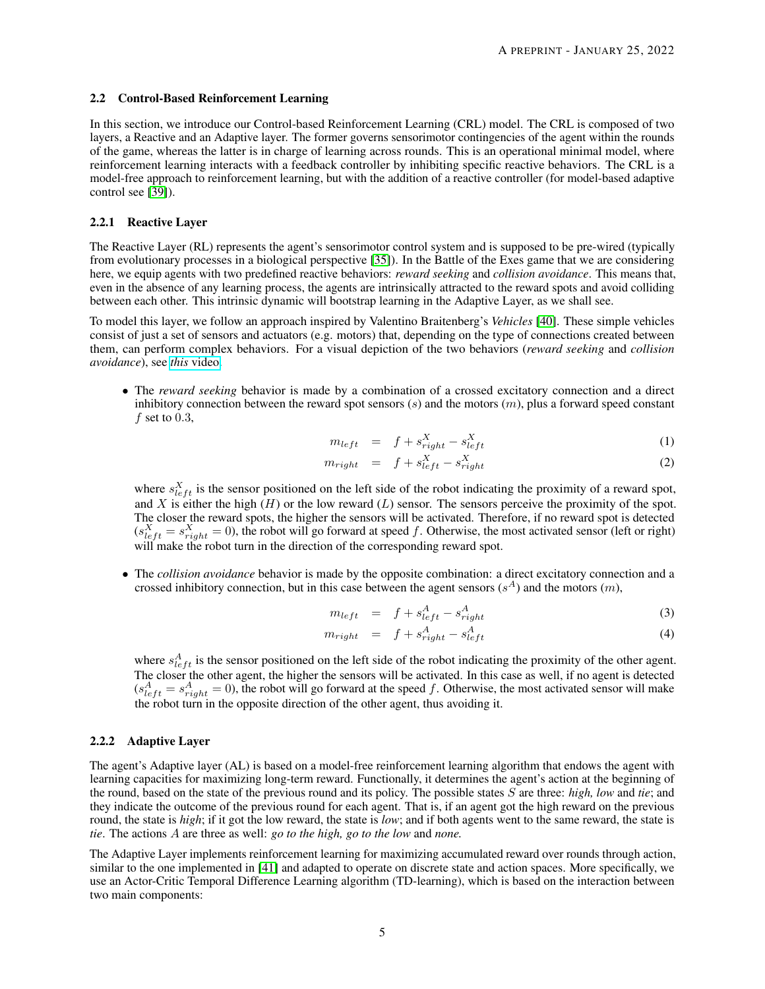#### 2.2 Control-Based Reinforcement Learning

In this section, we introduce our Control-based Reinforcement Learning (CRL) model. The CRL is composed of two layers, a Reactive and an Adaptive layer. The former governs sensorimotor contingencies of the agent within the rounds of the game, whereas the latter is in charge of learning across rounds. This is an operational minimal model, where reinforcement learning interacts with a feedback controller by inhibiting specific reactive behaviors. The CRL is a model-free approach to reinforcement learning, but with the addition of a reactive controller (for model-based adaptive control see [\[39\]](#page-14-6)).

#### 2.2.1 Reactive Layer

The Reactive Layer (RL) represents the agent's sensorimotor control system and is supposed to be pre-wired (typically from evolutionary processes in a biological perspective [\[35\]](#page-14-2)). In the Battle of the Exes game that we are considering here, we equip agents with two predefined reactive behaviors: *reward seeking* and *collision avoidance*. This means that, even in the absence of any learning process, the agents are intrinsically attracted to the reward spots and avoid colliding between each other. This intrinsic dynamic will bootstrap learning in the Adaptive Layer, as we shall see.

To model this layer, we follow an approach inspired by Valentino Braitenberg's *Vehicles* [\[40\]](#page-14-7). These simple vehicles consist of just a set of sensors and actuators (e.g. motors) that, depending on the type of connections created between them, can perform complex behaviors. For a visual depiction of the two behaviors (*reward seeking* and *collision avoidance*), see *this* [video.](https://www.youtube.com/watch?v=q17awceac5c)

• The *reward seeking* behavior is made by a combination of a crossed excitatory connection and a direct inhibitory connection between the reward spot sensors  $(s)$  and the motors  $(m)$ , plus a forward speed constant f set to  $0.3$ ,

$$
m_{left} = f + s_{right}^{X} - s_{left}^{X}
$$
 (1)

$$
m_{right} = f + s_{left}^{X} - s_{right}^{X}
$$
 (2)

where  $s_{left}^{X}$  is the sensor positioned on the left side of the robot indicating the proximity of a reward spot, and X is either the high (H) or the low reward (L) sensor. The sensors perceive the proximity of the spot. The closer the reward spots, the higher the sensors will be activated. Therefore, if no reward spot is detected  $(s_{left}^X = s_{right}^X = 0)$ , the robot will go forward at speed f. Otherwise, the most activated sensor (left or right) will make the robot turn in the direction of the corresponding reward spot.

• The *collision avoidance* behavior is made by the opposite combination: a direct excitatory connection and a crossed inhibitory connection, but in this case between the agent sensors  $(s<sup>A</sup>)$  and the motors  $(m)$ ,

$$
m_{left} = f + s_{left}^{A} - s_{right}^{A} \tag{3}
$$

$$
m_{right} = f + s_{right}^{A} - s_{left}^{A}
$$
\n(4)

where  $s_{left}^{A}$  is the sensor positioned on the left side of the robot indicating the proximity of the other agent. The closer the other agent, the higher the sensors will be activated. In this case as well, if no agent is detected  $(s_{left}^A = s_{right}^A = 0)$ , the robot will go forward at the speed f. Otherwise, the most activated sensor will make the robot turn in the opposite direction of the other agent, thus avoiding it.

#### 2.2.2 Adaptive Layer

The agent's Adaptive layer (AL) is based on a model-free reinforcement learning algorithm that endows the agent with learning capacities for maximizing long-term reward. Functionally, it determines the agent's action at the beginning of the round, based on the state of the previous round and its policy. The possible states S are three: *high, low* and *tie*; and they indicate the outcome of the previous round for each agent. That is, if an agent got the high reward on the previous round, the state is *high*; if it got the low reward, the state is *low*; and if both agents went to the same reward, the state is *tie*. The actions A are three as well: *go to the high, go to the low* and *none.*

The Adaptive Layer implements reinforcement learning for maximizing accumulated reward over rounds through action, similar to the one implemented in [\[41\]](#page-14-8) and adapted to operate on discrete state and action spaces. More specifically, we use an Actor-Critic Temporal Difference Learning algorithm (TD-learning), which is based on the interaction between two main components: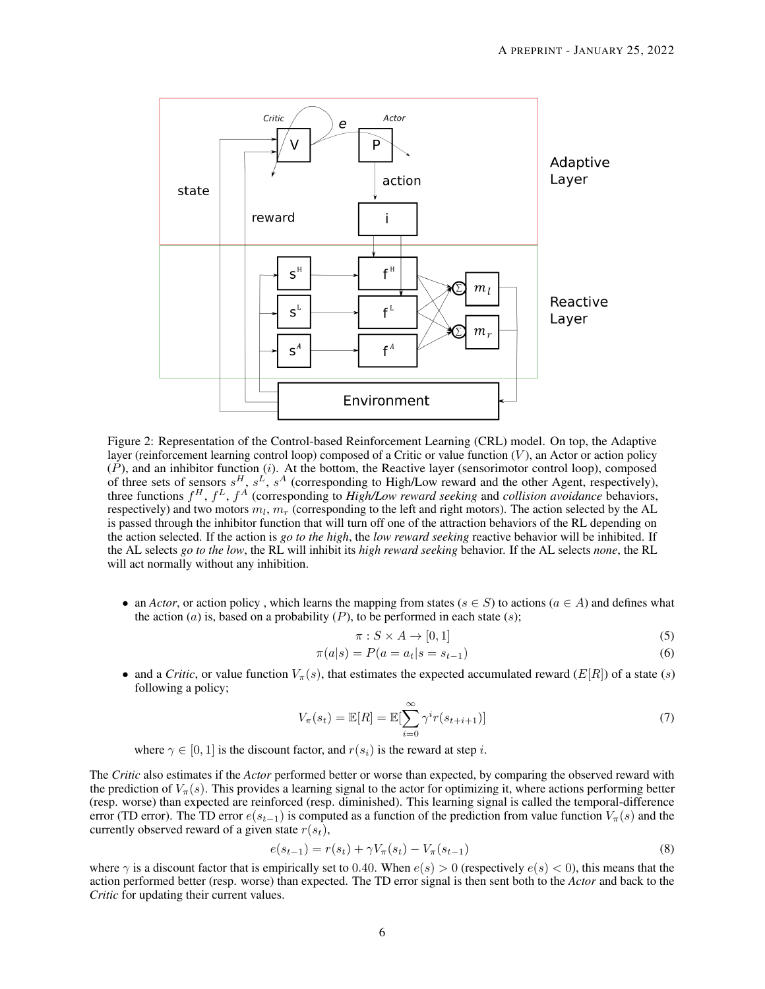<span id="page-5-0"></span>

Figure 2: Representation of the Control-based Reinforcement Learning (CRL) model. On top, the Adaptive layer (reinforcement learning control loop) composed of a Critic or value function  $(V)$ , an Actor or action policy  $(P)$ , and an inhibitor function  $(i)$ . At the bottom, the Reactive layer (sensorimotor control loop), composed of three sets of sensors  $s^H$ ,  $s^L$ ,  $s^A$  (corresponding to High/Low reward and the other Agent, respectively), three functions f <sup>H</sup>, f <sup>L</sup>, f <sup>A</sup> (corresponding to *High/Low reward seeking* and *collision avoidance* behaviors, respectively) and two motors  $m_l$ ,  $m_r$  (corresponding to the left and right motors). The action selected by the AL is passed through the inhibitor function that will turn off one of the attraction behaviors of the RL depending on the action selected. If the action is *go to the high*, the *low reward seeking* reactive behavior will be inhibited. If the AL selects *go to the low*, the RL will inhibit its *high reward seeking* behavior. If the AL selects *none*, the RL will act normally without any inhibition.

• an *Actor*, or action policy, which learns the mapping from states ( $s \in S$ ) to actions ( $a \in A$ ) and defines what the action (a) is, based on a probability  $(P)$ , to be performed in each state (s);

$$
\pi: S \times A \to [0, 1] \tag{5}
$$

$$
\pi(a|s) = P(a = a_t|s = s_{t-1})
$$
\n(6)

• and a *Critic*, or value function  $V_\pi(s)$ , that estimates the expected accumulated reward (E[R]) of a state (s) following a policy;

$$
V_{\pi}(s_t) = \mathbb{E}[R] = \mathbb{E}[\sum_{i=0}^{\infty} \gamma^i r(s_{t+i+1})]
$$
\n(7)

where  $\gamma \in [0, 1]$  is the discount factor, and  $r(s_i)$  is the reward at step *i*.

The *Critic* also estimates if the *Actor* performed better or worse than expected, by comparing the observed reward with the prediction of  $V_\pi(s)$ . This provides a learning signal to the actor for optimizing it, where actions performing better (resp. worse) than expected are reinforced (resp. diminished). This learning signal is called the temporal-difference error (TD error). The TD error  $e(s_{t-1})$  is computed as a function of the prediction from value function  $V_\pi(s)$  and the currently observed reward of a given state  $r(s_t)$ ,

$$
e(s_{t-1}) = r(s_t) + \gamma V_\pi(s_t) - V_\pi(s_{t-1})
$$
\n(8)

where  $\gamma$  is a discount factor that is empirically set to 0.40. When  $e(s) > 0$  (respectively  $e(s) < 0$ ), this means that the action performed better (resp. worse) than expected. The TD error signal is then sent both to the *Actor* and back to the *Critic* for updating their current values.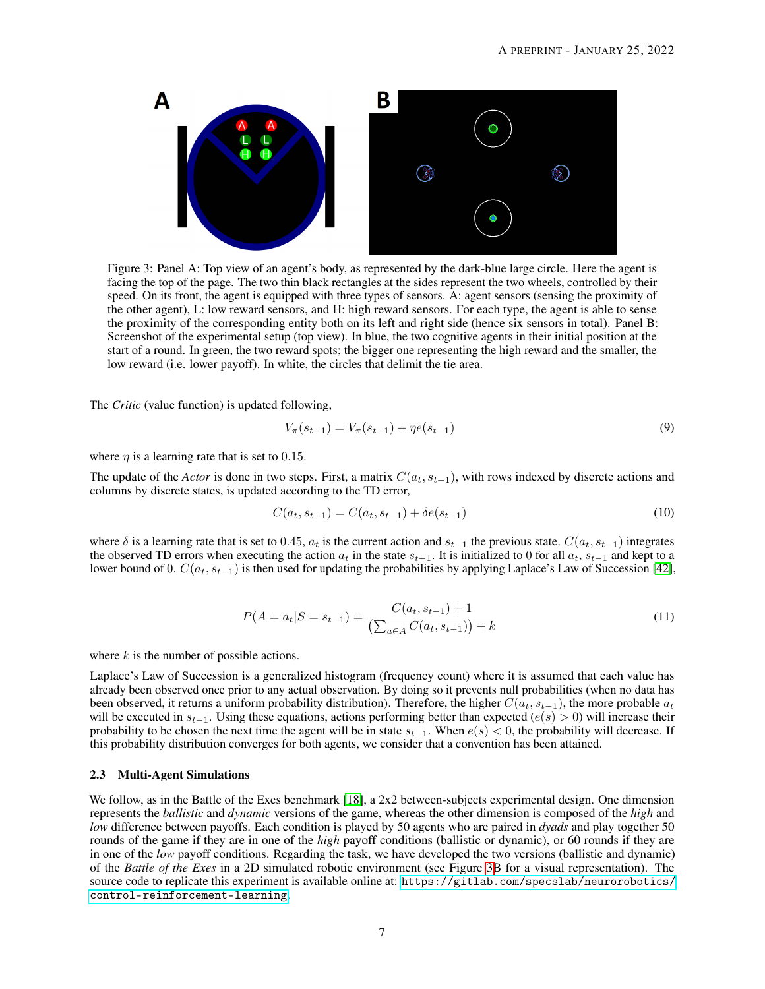<span id="page-6-0"></span>

Figure 3: Panel A: Top view of an agent's body, as represented by the dark-blue large circle. Here the agent is facing the top of the page. The two thin black rectangles at the sides represent the two wheels, controlled by their speed. On its front, the agent is equipped with three types of sensors. A: agent sensors (sensing the proximity of the other agent), L: low reward sensors, and H: high reward sensors. For each type, the agent is able to sense the proximity of the corresponding entity both on its left and right side (hence six sensors in total). Panel B: Screenshot of the experimental setup (top view). In blue, the two cognitive agents in their initial position at the start of a round. In green, the two reward spots; the bigger one representing the high reward and the smaller, the low reward (i.e. lower payoff). In white, the circles that delimit the tie area.

The *Critic* (value function) is updated following,

$$
V_{\pi}(s_{t-1}) = V_{\pi}(s_{t-1}) + \eta e(s_{t-1})
$$
\n(9)

where  $\eta$  is a learning rate that is set to 0.15.

The update of the *Actor* is done in two steps. First, a matrix  $C(a_t, s_{t-1})$ , with rows indexed by discrete actions and columns by discrete states, is updated according to the TD error,

$$
C(a_t, s_{t-1}) = C(a_t, s_{t-1}) + \delta e(s_{t-1})
$$
\n(10)

where  $\delta$  is a learning rate that is set to 0.45,  $a_t$  is the current action and  $s_{t-1}$  the previous state.  $C(a_t, s_{t-1})$  integrates the observed TD errors when executing the action  $a_t$  in the state  $s_{t-1}$ . It is initialized to 0 for all  $a_t$ ,  $s_{t-1}$  and kept to a lower bound of 0.  $C(a_t, s_{t-1})$  is then used for updating the probabilities by applying Laplace's Law of Succession [\[42\]](#page-14-9),

$$
P(A = a_t | S = s_{t-1}) = \frac{C(a_t, s_{t-1}) + 1}{\left(\sum_{a \in A} C(a_t, s_{t-1})\right) + k} \tag{11}
$$

where  $k$  is the number of possible actions.

Laplace's Law of Succession is a generalized histogram (frequency count) where it is assumed that each value has already been observed once prior to any actual observation. By doing so it prevents null probabilities (when no data has been observed, it returns a uniform probability distribution). Therefore, the higher  $C(a_t, s_{t-1})$ , the more probable  $a_t$ will be executed in  $s_{t-1}$ . Using these equations, actions performing better than expected ( $e(s) > 0$ ) will increase their probability to be chosen the next time the agent will be in state  $s_{t-1}$ . When  $e(s) < 0$ , the probability will decrease. If this probability distribution converges for both agents, we consider that a convention has been attained.

#### 2.3 Multi-Agent Simulations

We follow, as in the Battle of the Exes benchmark [\[18\]](#page-13-7), a 2x2 between-subjects experimental design. One dimension represents the *ballistic* and *dynamic* versions of the game, whereas the other dimension is composed of the *high* and *low* difference between payoffs. Each condition is played by 50 agents who are paired in *dyads* and play together 50 rounds of the game if they are in one of the *high* payoff conditions (ballistic or dynamic), or 60 rounds if they are in one of the *low* payoff conditions. Regarding the task, we have developed the two versions (ballistic and dynamic) of the *Battle of the Exes* in a 2D simulated robotic environment (see Figure [3B](#page-6-0) for a visual representation). The source code to replicate this experiment is available online at: [https://gitlab.com/specslab/neurorobotics/](https://gitlab.com/specslab/neurorobotics/control-reinforcement-learning) [control-reinforcement-learning](https://gitlab.com/specslab/neurorobotics/control-reinforcement-learning).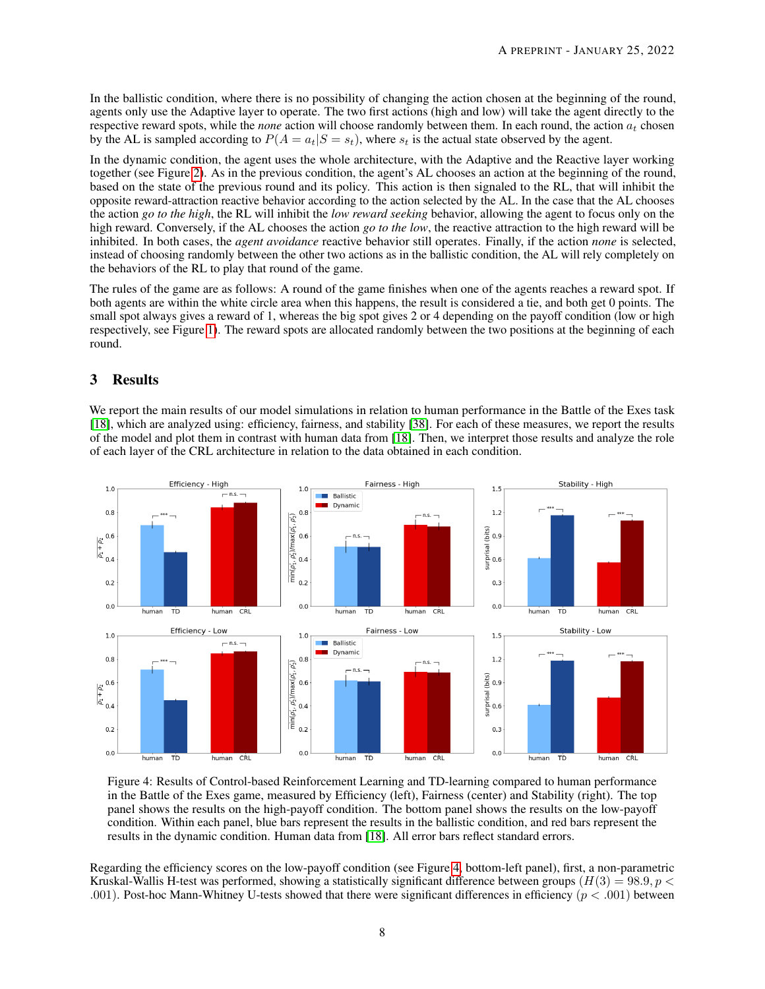In the ballistic condition, where there is no possibility of changing the action chosen at the beginning of the round, agents only use the Adaptive layer to operate. The two first actions (high and low) will take the agent directly to the respective reward spots, while the *none* action will choose randomly between them. In each round, the action  $a_t$  chosen by the AL is sampled according to  $P(A = a_t|S = s_t)$ , where  $s_t$  is the actual state observed by the agent.

In the dynamic condition, the agent uses the whole architecture, with the Adaptive and the Reactive layer working together (see Figure [2\)](#page-5-0). As in the previous condition, the agent's AL chooses an action at the beginning of the round, based on the state of the previous round and its policy. This action is then signaled to the RL, that will inhibit the opposite reward-attraction reactive behavior according to the action selected by the AL. In the case that the AL chooses the action *go to the high*, the RL will inhibit the *low reward seeking* behavior, allowing the agent to focus only on the high reward. Conversely, if the AL chooses the action *go to the low*, the reactive attraction to the high reward will be inhibited. In both cases, the *agent avoidance* reactive behavior still operates. Finally, if the action *none* is selected, instead of choosing randomly between the other two actions as in the ballistic condition, the AL will rely completely on the behaviors of the RL to play that round of the game.

The rules of the game are as follows: A round of the game finishes when one of the agents reaches a reward spot. If both agents are within the white circle area when this happens, the result is considered a tie, and both get 0 points. The small spot always gives a reward of 1, whereas the big spot gives 2 or 4 depending on the payoff condition (low or high respectively, see Figure [1\)](#page-3-0). The reward spots are allocated randomly between the two positions at the beginning of each round.

# 3 Results

We report the main results of our model simulations in relation to human performance in the Battle of the Exes task [\[18\]](#page-13-7), which are analyzed using: efficiency, fairness, and stability [\[38\]](#page-14-5). For each of these measures, we report the results of the model and plot them in contrast with human data from [\[18\]](#page-13-7). Then, we interpret those results and analyze the role of each layer of the CRL architecture in relation to the data obtained in each condition.

<span id="page-7-0"></span>

Figure 4: Results of Control-based Reinforcement Learning and TD-learning compared to human performance in the Battle of the Exes game, measured by Efficiency (left), Fairness (center) and Stability (right). The top panel shows the results on the high-payoff condition. The bottom panel shows the results on the low-payoff condition. Within each panel, blue bars represent the results in the ballistic condition, and red bars represent the results in the dynamic condition. Human data from [\[18\]](#page-13-7). All error bars reflect standard errors.

Regarding the efficiency scores on the low-payoff condition (see Figure [4,](#page-7-0) bottom-left panel), first, a non-parametric Kruskal-Wallis H-test was performed, showing a statistically significant difference between groups  $(H(3) = 98.9, p <$ .001). Post-hoc Mann-Whitney U-tests showed that there were significant differences in efficiency  $(p < .001)$  between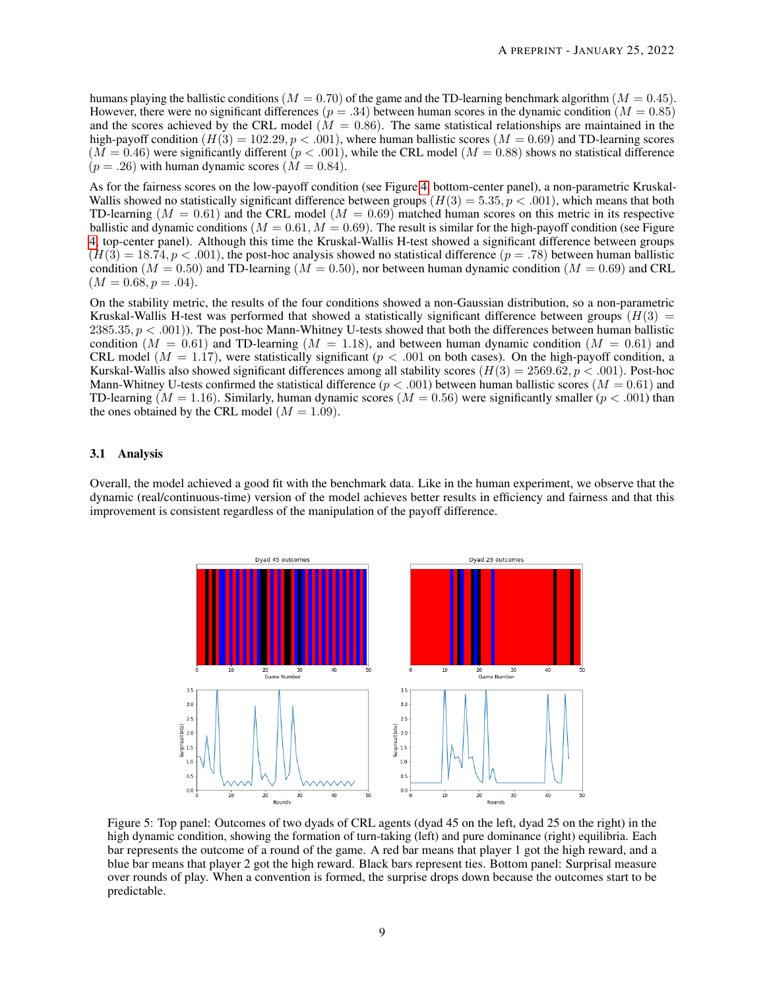humans playing the ballistic conditions ( $M = 0.70$ ) of the game and the TD-learning benchmark algorithm ( $M = 0.45$ ). However, there were no significant differences ( $p = .34$ ) between human scores in the dynamic condition ( $M = 0.85$ ) and the scores achieved by the CRL model ( $\dot{M} = 0.86$ ). The same statistical relationships are maintained in the high-payoff condition  $(H(3) = 102.29, p < .001)$ , where human ballistic scores  $(M = 0.69)$  and TD-learning scores  $(M = 0.46)$  were significantly different  $(p < .001)$ , while the CRL model  $(M = 0.88)$  shows no statistical difference  $(p=.26)$  with human dynamic scores  $(M = 0.84)$ .

As for the fairness scores on the low-payoff condition (see Figure [4,](#page-7-0) bottom-center panel), a non-parametric Kruskal-Wallis showed no statistically significant difference between groups  $(H(3) = 5.35, p < .001)$ , which means that both TD-learning ( $M = 0.61$ ) and the CRL model ( $M = 0.69$ ) matched human scores on this metric in its respective ballistic and dynamic conditions ( $M = 0.61, M = 0.69$ ). The result is similar for the high-payoff condition (see Figure [4,](#page-7-0) top-center panel). Although this time the Kruskal-Wallis H-test showed a significant difference between groups  $(H(3) = 18.74, p < .001)$ , the post-hoc analysis showed no statistical difference  $(p = .78)$  between human ballistic condition ( $M = 0.50$ ) and TD-learning ( $M = 0.50$ ), nor between human dynamic condition ( $M = 0.69$ ) and CRL  $(M = 0.68, p = .04).$ 

On the stability metric, the results of the four conditions showed a non-Gaussian distribution, so a non-parametric Kruskal-Wallis H-test was performed that showed a statistically significant difference between groups  $(H(3)$  = 2385.35,  $p < .001$ ). The post-hoc Mann-Whitney U-tests showed that both the differences between human ballistic condition  $(M = 0.61)$  and TD-learning  $(M = 1.18)$ , and between human dynamic condition  $(M = 0.61)$  and CRL model ( $M = 1.17$ ), were statistically significant ( $p < .001$  on both cases). On the high-payoff condition, a Kurskal-Wallis also showed significant differences among all stability scores  $(H(3) = 2569.62, p < .001)$ . Post-hoc Mann-Whitney U-tests confirmed the statistical difference ( $p < .001$ ) between human ballistic scores ( $M = 0.61$ ) and TD-learning  $(M = 1.16)$ . Similarly, human dynamic scores  $(M = 0.56)$  were significantly smaller  $(p < .001)$  than the ones obtained by the CRL model  $(M = 1.09)$ .

#### 3.1 Analysis

<span id="page-8-0"></span>Overall, the model achieved a good fit with the benchmark data. Like in the human experiment, we observe that the dynamic (real/continuous-time) version of the model achieves better results in efficiency and fairness and that this improvement is consistent regardless of the manipulation of the payoff difference.



Figure 5: Top panel: Outcomes of two dyads of CRL agents (dyad 45 on the left, dyad 25 on the right) in the high dynamic condition, showing the formation of turn-taking (left) and pure dominance (right) equilibria. Each bar represents the outcome of a round of the game. A red bar means that player 1 got the high reward, and a blue bar means that player 2 got the high reward. Black bars represent ties. Bottom panel: Surprisal measure over rounds of play. When a convention is formed, the surprise drops down because the outcomes start to be predictable.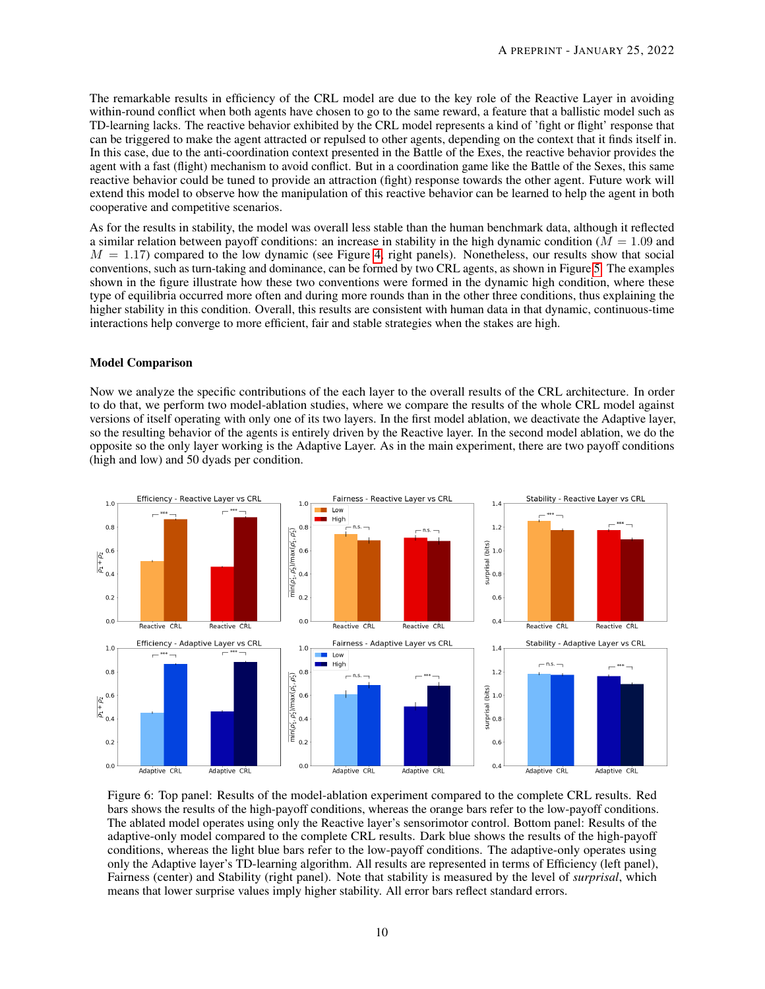The remarkable results in efficiency of the CRL model are due to the key role of the Reactive Layer in avoiding within-round conflict when both agents have chosen to go to the same reward, a feature that a ballistic model such as TD-learning lacks. The reactive behavior exhibited by the CRL model represents a kind of 'fight or flight' response that can be triggered to make the agent attracted or repulsed to other agents, depending on the context that it finds itself in. In this case, due to the anti-coordination context presented in the Battle of the Exes, the reactive behavior provides the agent with a fast (flight) mechanism to avoid conflict. But in a coordination game like the Battle of the Sexes, this same reactive behavior could be tuned to provide an attraction (fight) response towards the other agent. Future work will extend this model to observe how the manipulation of this reactive behavior can be learned to help the agent in both cooperative and competitive scenarios.

As for the results in stability, the model was overall less stable than the human benchmark data, although it reflected a similar relation between payoff conditions: an increase in stability in the high dynamic condition ( $M = 1.09$  and  $M = 1.17$ ) compared to the low dynamic (see Figure [4,](#page-7-0) right panels). Nonetheless, our results show that social conventions, such as turn-taking and dominance, can be formed by two CRL agents, as shown in Figure [5.](#page-8-0) The examples shown in the figure illustrate how these two conventions were formed in the dynamic high condition, where these type of equilibria occurred more often and during more rounds than in the other three conditions, thus explaining the higher stability in this condition. Overall, this results are consistent with human data in that dynamic, continuous-time interactions help converge to more efficient, fair and stable strategies when the stakes are high.

#### Model Comparison

Now we analyze the specific contributions of the each layer to the overall results of the CRL architecture. In order to do that, we perform two model-ablation studies, where we compare the results of the whole CRL model against versions of itself operating with only one of its two layers. In the first model ablation, we deactivate the Adaptive layer, so the resulting behavior of the agents is entirely driven by the Reactive layer. In the second model ablation, we do the opposite so the only layer working is the Adaptive Layer. As in the main experiment, there are two payoff conditions (high and low) and 50 dyads per condition.



Figure 6: Top panel: Results of the model-ablation experiment compared to the complete CRL results. Red bars shows the results of the high-payoff conditions, whereas the orange bars refer to the low-payoff conditions. The ablated model operates using only the Reactive layer's sensorimotor control. Bottom panel: Results of the adaptive-only model compared to the complete CRL results. Dark blue shows the results of the high-payoff conditions, whereas the light blue bars refer to the low-payoff conditions. The adaptive-only operates using only the Adaptive layer's TD-learning algorithm. All results are represented in terms of Efficiency (left panel), Fairness (center) and Stability (right panel). Note that stability is measured by the level of *surprisal*, which means that lower surprise values imply higher stability. All error bars reflect standard errors.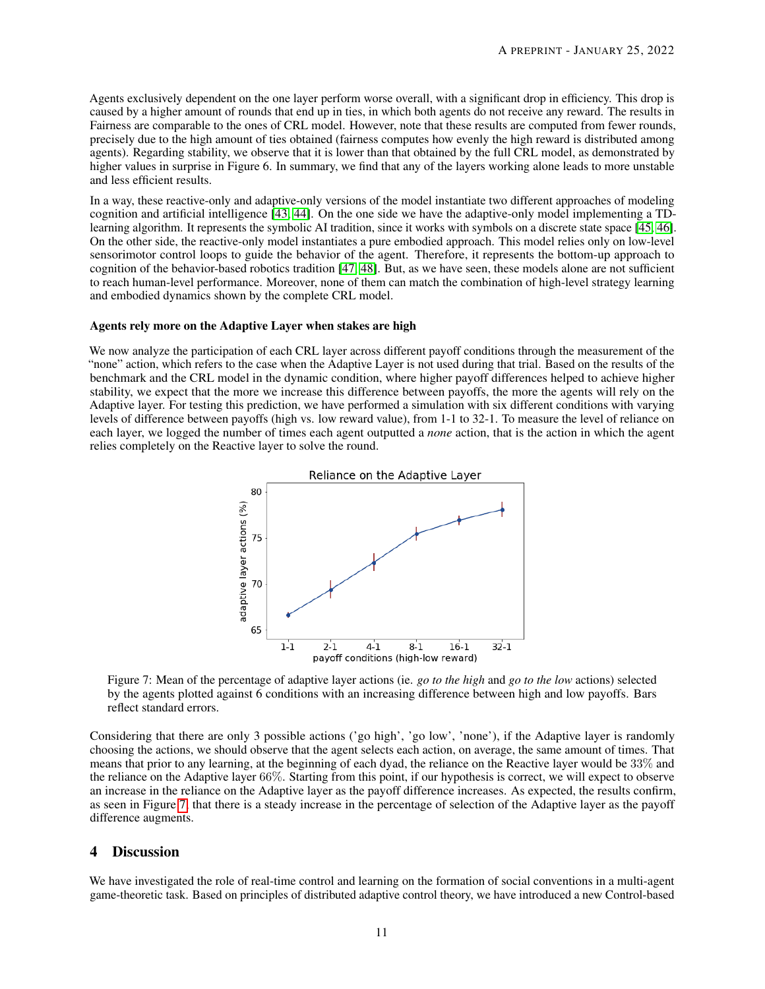Agents exclusively dependent on the one layer perform worse overall, with a significant drop in efficiency. This drop is caused by a higher amount of rounds that end up in ties, in which both agents do not receive any reward. The results in Fairness are comparable to the ones of CRL model. However, note that these results are computed from fewer rounds, precisely due to the high amount of ties obtained (fairness computes how evenly the high reward is distributed among agents). Regarding stability, we observe that it is lower than that obtained by the full CRL model, as demonstrated by higher values in surprise in Figure 6. In summary, we find that any of the layers working alone leads to more unstable and less efficient results.

In a way, these reactive-only and adaptive-only versions of the model instantiate two different approaches of modeling cognition and artificial intelligence [\[43,](#page-14-10) [44\]](#page-14-11). On the one side we have the adaptive-only model implementing a TDlearning algorithm. It represents the symbolic AI tradition, since it works with symbols on a discrete state space [\[45,](#page-14-12) [46\]](#page-14-13). On the other side, the reactive-only model instantiates a pure embodied approach. This model relies only on low-level sensorimotor control loops to guide the behavior of the agent. Therefore, it represents the bottom-up approach to cognition of the behavior-based robotics tradition [\[47,](#page-14-14) [48\]](#page-14-15). But, as we have seen, these models alone are not sufficient to reach human-level performance. Moreover, none of them can match the combination of high-level strategy learning and embodied dynamics shown by the complete CRL model.

#### Agents rely more on the Adaptive Layer when stakes are high

<span id="page-10-0"></span>We now analyze the participation of each CRL layer across different payoff conditions through the measurement of the "none" action, which refers to the case when the Adaptive Layer is not used during that trial. Based on the results of the benchmark and the CRL model in the dynamic condition, where higher payoff differences helped to achieve higher stability, we expect that the more we increase this difference between payoffs, the more the agents will rely on the Adaptive layer. For testing this prediction, we have performed a simulation with six different conditions with varying levels of difference between payoffs (high vs. low reward value), from 1-1 to 32-1. To measure the level of reliance on each layer, we logged the number of times each agent outputted a *none* action, that is the action in which the agent relies completely on the Reactive layer to solve the round.



Figure 7: Mean of the percentage of adaptive layer actions (ie. *go to the high* and *go to the low* actions) selected by the agents plotted against 6 conditions with an increasing difference between high and low payoffs. Bars reflect standard errors.

Considering that there are only 3 possible actions ('go high', 'go low', 'none'), if the Adaptive layer is randomly choosing the actions, we should observe that the agent selects each action, on average, the same amount of times. That means that prior to any learning, at the beginning of each dyad, the reliance on the Reactive layer would be 33% and the reliance on the Adaptive layer 66%. Starting from this point, if our hypothesis is correct, we will expect to observe an increase in the reliance on the Adaptive layer as the payoff difference increases. As expected, the results confirm, as seen in Figure [7,](#page-10-0) that there is a steady increase in the percentage of selection of the Adaptive layer as the payoff difference augments.

### 4 Discussion

We have investigated the role of real-time control and learning on the formation of social conventions in a multi-agent game-theoretic task. Based on principles of distributed adaptive control theory, we have introduced a new Control-based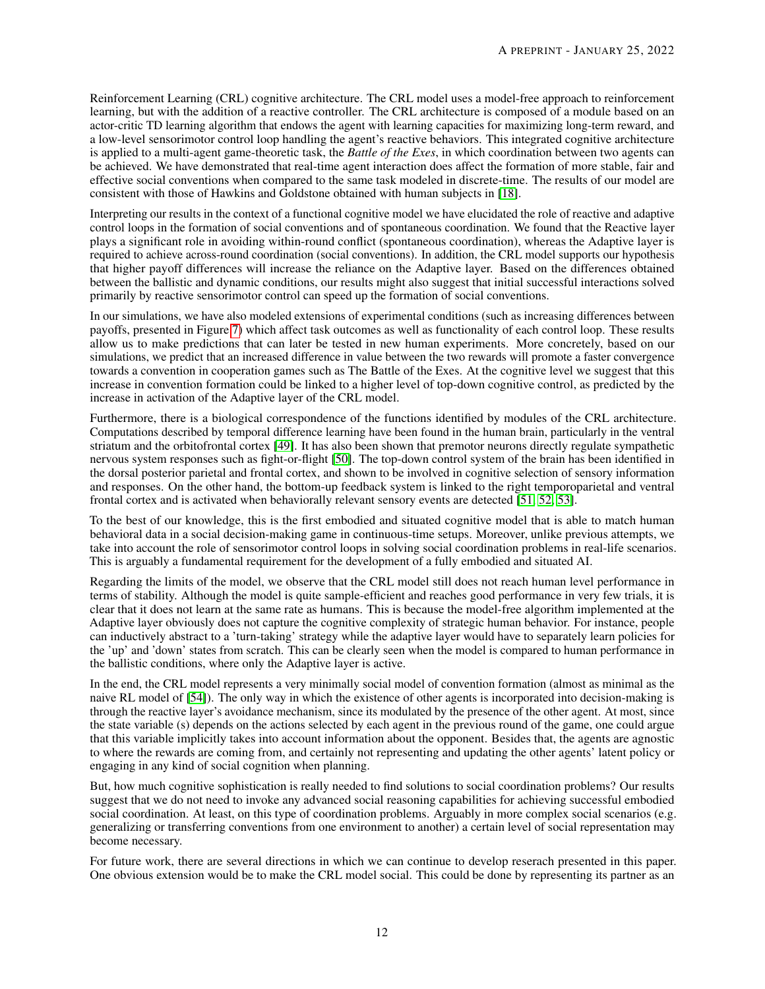Reinforcement Learning (CRL) cognitive architecture. The CRL model uses a model-free approach to reinforcement learning, but with the addition of a reactive controller. The CRL architecture is composed of a module based on an actor-critic TD learning algorithm that endows the agent with learning capacities for maximizing long-term reward, and a low-level sensorimotor control loop handling the agent's reactive behaviors. This integrated cognitive architecture is applied to a multi-agent game-theoretic task, the *Battle of the Exes*, in which coordination between two agents can be achieved. We have demonstrated that real-time agent interaction does affect the formation of more stable, fair and effective social conventions when compared to the same task modeled in discrete-time. The results of our model are consistent with those of Hawkins and Goldstone obtained with human subjects in [\[18\]](#page-13-7).

Interpreting our results in the context of a functional cognitive model we have elucidated the role of reactive and adaptive control loops in the formation of social conventions and of spontaneous coordination. We found that the Reactive layer plays a significant role in avoiding within-round conflict (spontaneous coordination), whereas the Adaptive layer is required to achieve across-round coordination (social conventions). In addition, the CRL model supports our hypothesis that higher payoff differences will increase the reliance on the Adaptive layer. Based on the differences obtained between the ballistic and dynamic conditions, our results might also suggest that initial successful interactions solved primarily by reactive sensorimotor control can speed up the formation of social conventions.

In our simulations, we have also modeled extensions of experimental conditions (such as increasing differences between payoffs, presented in Figure [7\)](#page-10-0) which affect task outcomes as well as functionality of each control loop. These results allow us to make predictions that can later be tested in new human experiments. More concretely, based on our simulations, we predict that an increased difference in value between the two rewards will promote a faster convergence towards a convention in cooperation games such as The Battle of the Exes. At the cognitive level we suggest that this increase in convention formation could be linked to a higher level of top-down cognitive control, as predicted by the increase in activation of the Adaptive layer of the CRL model.

Furthermore, there is a biological correspondence of the functions identified by modules of the CRL architecture. Computations described by temporal difference learning have been found in the human brain, particularly in the ventral striatum and the orbitofrontal cortex [\[49\]](#page-14-16). It has also been shown that premotor neurons directly regulate sympathetic nervous system responses such as fight-or-flight [\[50\]](#page-14-17). The top-down control system of the brain has been identified in the dorsal posterior parietal and frontal cortex, and shown to be involved in cognitive selection of sensory information and responses. On the other hand, the bottom-up feedback system is linked to the right temporoparietal and ventral frontal cortex and is activated when behaviorally relevant sensory events are detected [\[51,](#page-14-18) [52,](#page-14-19) [53\]](#page-14-20).

To the best of our knowledge, this is the first embodied and situated cognitive model that is able to match human behavioral data in a social decision-making game in continuous-time setups. Moreover, unlike previous attempts, we take into account the role of sensorimotor control loops in solving social coordination problems in real-life scenarios. This is arguably a fundamental requirement for the development of a fully embodied and situated AI.

Regarding the limits of the model, we observe that the CRL model still does not reach human level performance in terms of stability. Although the model is quite sample-efficient and reaches good performance in very few trials, it is clear that it does not learn at the same rate as humans. This is because the model-free algorithm implemented at the Adaptive layer obviously does not capture the cognitive complexity of strategic human behavior. For instance, people can inductively abstract to a 'turn-taking' strategy while the adaptive layer would have to separately learn policies for the 'up' and 'down' states from scratch. This can be clearly seen when the model is compared to human performance in the ballistic conditions, where only the Adaptive layer is active.

In the end, the CRL model represents a very minimally social model of convention formation (almost as minimal as the naive RL model of [\[54\]](#page-14-21)). The only way in which the existence of other agents is incorporated into decision-making is through the reactive layer's avoidance mechanism, since its modulated by the presence of the other agent. At most, since the state variable (s) depends on the actions selected by each agent in the previous round of the game, one could argue that this variable implicitly takes into account information about the opponent. Besides that, the agents are agnostic to where the rewards are coming from, and certainly not representing and updating the other agents' latent policy or engaging in any kind of social cognition when planning.

But, how much cognitive sophistication is really needed to find solutions to social coordination problems? Our results suggest that we do not need to invoke any advanced social reasoning capabilities for achieving successful embodied social coordination. At least, on this type of coordination problems. Arguably in more complex social scenarios (e.g. generalizing or transferring conventions from one environment to another) a certain level of social representation may become necessary.

For future work, there are several directions in which we can continue to develop reserach presented in this paper. One obvious extension would be to make the CRL model social. This could be done by representing its partner as an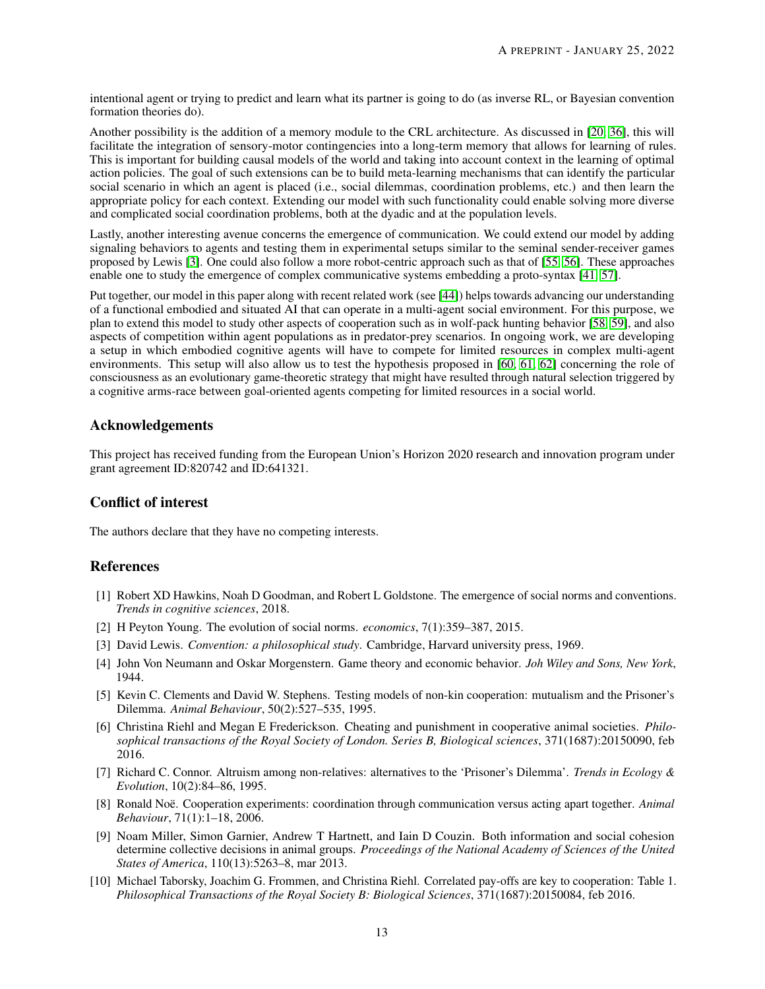intentional agent or trying to predict and learn what its partner is going to do (as inverse RL, or Bayesian convention formation theories do).

Another possibility is the addition of a memory module to the CRL architecture. As discussed in [\[20,](#page-13-9) [36\]](#page-14-3), this will facilitate the integration of sensory-motor contingencies into a long-term memory that allows for learning of rules. This is important for building causal models of the world and taking into account context in the learning of optimal action policies. The goal of such extensions can be to build meta-learning mechanisms that can identify the particular social scenario in which an agent is placed (i.e., social dilemmas, coordination problems, etc.) and then learn the appropriate policy for each context. Extending our model with such functionality could enable solving more diverse and complicated social coordination problems, both at the dyadic and at the population levels.

Lastly, another interesting avenue concerns the emergence of communication. We could extend our model by adding signaling behaviors to agents and testing them in experimental setups similar to the seminal sender-receiver games proposed by Lewis [\[3\]](#page-12-2). One could also follow a more robot-centric approach such as that of [\[55,](#page-14-22) [56\]](#page-14-23). These approaches enable one to study the emergence of complex communicative systems embedding a proto-syntax [\[41,](#page-14-8) [57\]](#page-14-24).

Put together, our model in this paper along with recent related work (see [\[44\]](#page-14-11)) helps towards advancing our understanding of a functional embodied and situated AI that can operate in a multi-agent social environment. For this purpose, we plan to extend this model to study other aspects of cooperation such as in wolf-pack hunting behavior [\[58,](#page-14-25) [59\]](#page-14-26), and also aspects of competition within agent populations as in predator-prey scenarios. In ongoing work, we are developing a setup in which embodied cognitive agents will have to compete for limited resources in complex multi-agent environments. This setup will also allow us to test the hypothesis proposed in [\[60,](#page-15-0) [61,](#page-15-1) [62\]](#page-15-2) concerning the role of consciousness as an evolutionary game-theoretic strategy that might have resulted through natural selection triggered by a cognitive arms-race between goal-oriented agents competing for limited resources in a social world.

# Acknowledgements

This project has received funding from the European Union's Horizon 2020 research and innovation program under grant agreement ID:820742 and ID:641321.

# Conflict of interest

The authors declare that they have no competing interests.

# References

- <span id="page-12-0"></span>[1] Robert XD Hawkins, Noah D Goodman, and Robert L Goldstone. The emergence of social norms and conventions. *Trends in cognitive sciences*, 2018.
- <span id="page-12-1"></span>[2] H Peyton Young. The evolution of social norms. *economics*, 7(1):359–387, 2015.
- <span id="page-12-2"></span>[3] David Lewis. *Convention: a philosophical study*. Cambridge, Harvard university press, 1969.
- <span id="page-12-3"></span>[4] John Von Neumann and Oskar Morgenstern. Game theory and economic behavior. *Joh Wiley and Sons, New York*, 1944.
- <span id="page-12-4"></span>[5] Kevin C. Clements and David W. Stephens. Testing models of non-kin cooperation: mutualism and the Prisoner's Dilemma. *Animal Behaviour*, 50(2):527–535, 1995.
- <span id="page-12-5"></span>[6] Christina Riehl and Megan E Frederickson. Cheating and punishment in cooperative animal societies. *Philosophical transactions of the Royal Society of London. Series B, Biological sciences*, 371(1687):20150090, feb 2016.
- <span id="page-12-6"></span>[7] Richard C. Connor. Altruism among non-relatives: alternatives to the 'Prisoner's Dilemma'. *Trends in Ecology & Evolution*, 10(2):84–86, 1995.
- <span id="page-12-7"></span>[8] Ronald Noë. Cooperation experiments: coordination through communication versus acting apart together. *Animal Behaviour*, 71(1):1–18, 2006.
- <span id="page-12-8"></span>[9] Noam Miller, Simon Garnier, Andrew T Hartnett, and Iain D Couzin. Both information and social cohesion determine collective decisions in animal groups. *Proceedings of the National Academy of Sciences of the United States of America*, 110(13):5263–8, mar 2013.
- <span id="page-12-9"></span>[10] Michael Taborsky, Joachim G. Frommen, and Christina Riehl. Correlated pay-offs are key to cooperation: Table 1. *Philosophical Transactions of the Royal Society B: Biological Sciences*, 371(1687):20150084, feb 2016.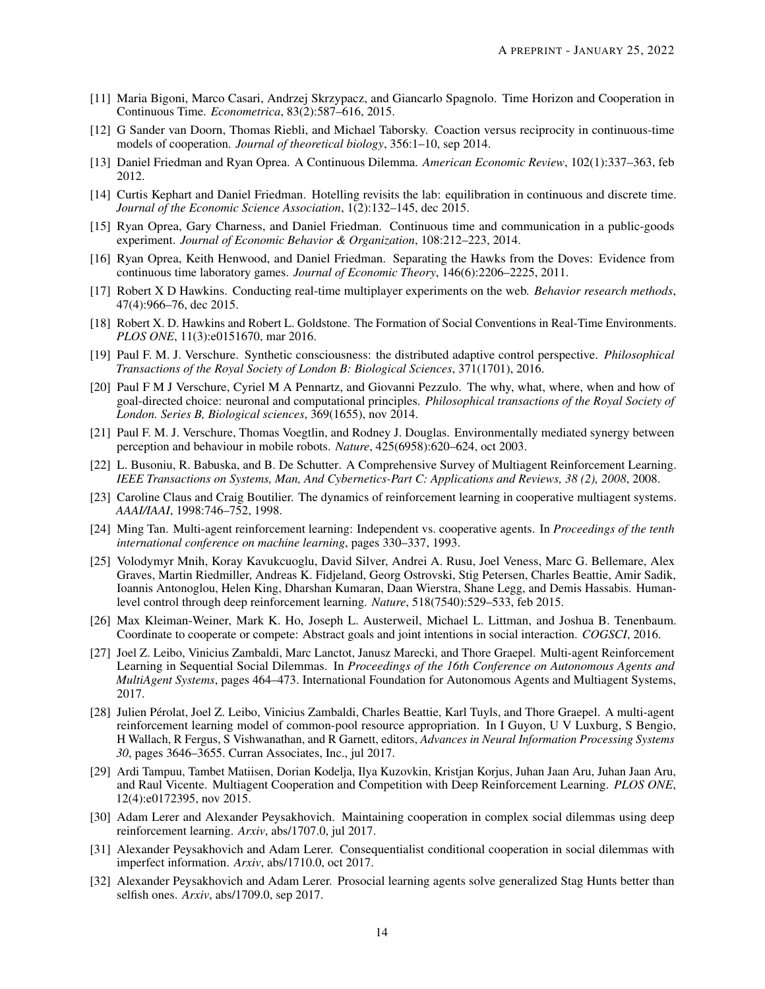- <span id="page-13-0"></span>[11] Maria Bigoni, Marco Casari, Andrzej Skrzypacz, and Giancarlo Spagnolo. Time Horizon and Cooperation in Continuous Time. *Econometrica*, 83(2):587–616, 2015.
- <span id="page-13-1"></span>[12] G Sander van Doorn, Thomas Riebli, and Michael Taborsky. Coaction versus reciprocity in continuous-time models of cooperation. *Journal of theoretical biology*, 356:1–10, sep 2014.
- <span id="page-13-2"></span>[13] Daniel Friedman and Ryan Oprea. A Continuous Dilemma. *American Economic Review*, 102(1):337–363, feb 2012.
- <span id="page-13-3"></span>[14] Curtis Kephart and Daniel Friedman. Hotelling revisits the lab: equilibration in continuous and discrete time. *Journal of the Economic Science Association*, 1(2):132–145, dec 2015.
- <span id="page-13-4"></span>[15] Ryan Oprea, Gary Charness, and Daniel Friedman. Continuous time and communication in a public-goods experiment. *Journal of Economic Behavior & Organization*, 108:212–223, 2014.
- <span id="page-13-5"></span>[16] Ryan Oprea, Keith Henwood, and Daniel Friedman. Separating the Hawks from the Doves: Evidence from continuous time laboratory games. *Journal of Economic Theory*, 146(6):2206–2225, 2011.
- <span id="page-13-6"></span>[17] Robert X D Hawkins. Conducting real-time multiplayer experiments on the web. *Behavior research methods*, 47(4):966–76, dec 2015.
- <span id="page-13-7"></span>[18] Robert X. D. Hawkins and Robert L. Goldstone. The Formation of Social Conventions in Real-Time Environments. *PLOS ONE*, 11(3):e0151670, mar 2016.
- <span id="page-13-8"></span>[19] Paul F. M. J. Verschure. Synthetic consciousness: the distributed adaptive control perspective. *Philosophical Transactions of the Royal Society of London B: Biological Sciences*, 371(1701), 2016.
- <span id="page-13-9"></span>[20] Paul F M J Verschure, Cyriel M A Pennartz, and Giovanni Pezzulo. The why, what, where, when and how of goal-directed choice: neuronal and computational principles. *Philosophical transactions of the Royal Society of London. Series B, Biological sciences*, 369(1655), nov 2014.
- <span id="page-13-10"></span>[21] Paul F. M. J. Verschure, Thomas Voegtlin, and Rodney J. Douglas. Environmentally mediated synergy between perception and behaviour in mobile robots. *Nature*, 425(6958):620–624, oct 2003.
- <span id="page-13-11"></span>[22] L. Busoniu, R. Babuska, and B. De Schutter. A Comprehensive Survey of Multiagent Reinforcement Learning. *IEEE Transactions on Systems, Man, And Cybernetics-Part C: Applications and Reviews, 38 (2), 2008*, 2008.
- <span id="page-13-12"></span>[23] Caroline Claus and Craig Boutilier. The dynamics of reinforcement learning in cooperative multiagent systems. *AAAI/IAAI*, 1998:746–752, 1998.
- <span id="page-13-13"></span>[24] Ming Tan. Multi-agent reinforcement learning: Independent vs. cooperative agents. In *Proceedings of the tenth international conference on machine learning*, pages 330–337, 1993.
- <span id="page-13-14"></span>[25] Volodymyr Mnih, Koray Kavukcuoglu, David Silver, Andrei A. Rusu, Joel Veness, Marc G. Bellemare, Alex Graves, Martin Riedmiller, Andreas K. Fidjeland, Georg Ostrovski, Stig Petersen, Charles Beattie, Amir Sadik, Ioannis Antonoglou, Helen King, Dharshan Kumaran, Daan Wierstra, Shane Legg, and Demis Hassabis. Humanlevel control through deep reinforcement learning. *Nature*, 518(7540):529–533, feb 2015.
- <span id="page-13-15"></span>[26] Max Kleiman-Weiner, Mark K. Ho, Joseph L. Austerweil, Michael L. Littman, and Joshua B. Tenenbaum. Coordinate to cooperate or compete: Abstract goals and joint intentions in social interaction. *COGSCI*, 2016.
- <span id="page-13-16"></span>[27] Joel Z. Leibo, Vinicius Zambaldi, Marc Lanctot, Janusz Marecki, and Thore Graepel. Multi-agent Reinforcement Learning in Sequential Social Dilemmas. In *Proceedings of the 16th Conference on Autonomous Agents and MultiAgent Systems*, pages 464–473. International Foundation for Autonomous Agents and Multiagent Systems, 2017.
- <span id="page-13-17"></span>[28] Julien Pérolat, Joel Z. Leibo, Vinicius Zambaldi, Charles Beattie, Karl Tuyls, and Thore Graepel. A multi-agent reinforcement learning model of common-pool resource appropriation. In I Guyon, U V Luxburg, S Bengio, H Wallach, R Fergus, S Vishwanathan, and R Garnett, editors, *Advances in Neural Information Processing Systems 30*, pages 3646–3655. Curran Associates, Inc., jul 2017.
- <span id="page-13-18"></span>[29] Ardi Tampuu, Tambet Matiisen, Dorian Kodelja, Ilya Kuzovkin, Kristjan Korjus, Juhan Jaan Aru, Juhan Jaan Aru, and Raul Vicente. Multiagent Cooperation and Competition with Deep Reinforcement Learning. *PLOS ONE*, 12(4):e0172395, nov 2015.
- <span id="page-13-19"></span>[30] Adam Lerer and Alexander Peysakhovich. Maintaining cooperation in complex social dilemmas using deep reinforcement learning. *Arxiv*, abs/1707.0, jul 2017.
- <span id="page-13-20"></span>[31] Alexander Peysakhovich and Adam Lerer. Consequentialist conditional cooperation in social dilemmas with imperfect information. *Arxiv*, abs/1710.0, oct 2017.
- <span id="page-13-21"></span>[32] Alexander Peysakhovich and Adam Lerer. Prosocial learning agents solve generalized Stag Hunts better than selfish ones. *Arxiv*, abs/1709.0, sep 2017.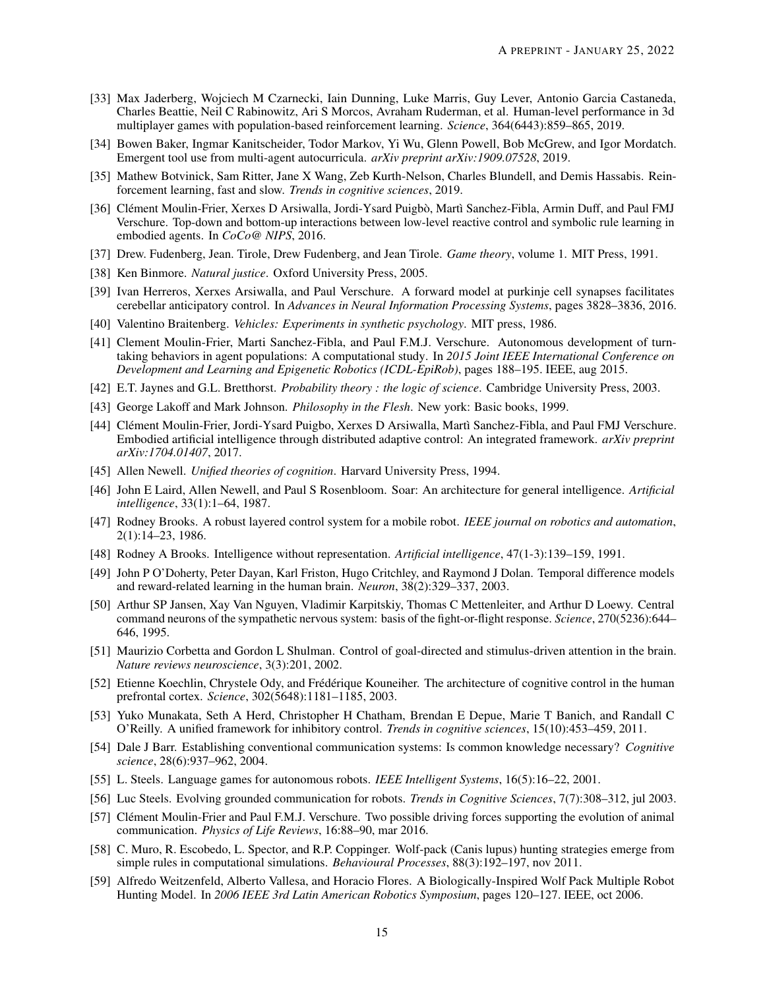- <span id="page-14-0"></span>[33] Max Jaderberg, Wojciech M Czarnecki, Iain Dunning, Luke Marris, Guy Lever, Antonio Garcia Castaneda, Charles Beattie, Neil C Rabinowitz, Ari S Morcos, Avraham Ruderman, et al. Human-level performance in 3d multiplayer games with population-based reinforcement learning. *Science*, 364(6443):859–865, 2019.
- <span id="page-14-1"></span>[34] Bowen Baker, Ingmar Kanitscheider, Todor Markov, Yi Wu, Glenn Powell, Bob McGrew, and Igor Mordatch. Emergent tool use from multi-agent autocurricula. *arXiv preprint arXiv:1909.07528*, 2019.
- <span id="page-14-2"></span>[35] Mathew Botvinick, Sam Ritter, Jane X Wang, Zeb Kurth-Nelson, Charles Blundell, and Demis Hassabis. Reinforcement learning, fast and slow. *Trends in cognitive sciences*, 2019.
- <span id="page-14-3"></span>[36] Clément Moulin-Frier, Xerxes D Arsiwalla, Jordi-Ysard Puigbò, Martì Sanchez-Fibla, Armin Duff, and Paul FMJ Verschure. Top-down and bottom-up interactions between low-level reactive control and symbolic rule learning in embodied agents. In *CoCo@ NIPS*, 2016.
- <span id="page-14-4"></span>[37] Drew. Fudenberg, Jean. Tirole, Drew Fudenberg, and Jean Tirole. *Game theory*, volume 1. MIT Press, 1991.
- <span id="page-14-5"></span>[38] Ken Binmore. *Natural justice*. Oxford University Press, 2005.
- <span id="page-14-6"></span>[39] Ivan Herreros, Xerxes Arsiwalla, and Paul Verschure. A forward model at purkinje cell synapses facilitates cerebellar anticipatory control. In *Advances in Neural Information Processing Systems*, pages 3828–3836, 2016.
- <span id="page-14-7"></span>[40] Valentino Braitenberg. *Vehicles: Experiments in synthetic psychology*. MIT press, 1986.
- <span id="page-14-8"></span>[41] Clement Moulin-Frier, Marti Sanchez-Fibla, and Paul F.M.J. Verschure. Autonomous development of turntaking behaviors in agent populations: A computational study. In *2015 Joint IEEE International Conference on Development and Learning and Epigenetic Robotics (ICDL-EpiRob)*, pages 188–195. IEEE, aug 2015.
- <span id="page-14-9"></span>[42] E.T. Jaynes and G.L. Bretthorst. *Probability theory : the logic of science*. Cambridge University Press, 2003.
- <span id="page-14-10"></span>[43] George Lakoff and Mark Johnson. *Philosophy in the Flesh*. New york: Basic books, 1999.
- <span id="page-14-11"></span>[44] Clément Moulin-Frier, Jordi-Ysard Puigbo, Xerxes D Arsiwalla, Martì Sanchez-Fibla, and Paul FMJ Verschure. Embodied artificial intelligence through distributed adaptive control: An integrated framework. *arXiv preprint arXiv:1704.01407*, 2017.
- <span id="page-14-12"></span>[45] Allen Newell. *Unified theories of cognition*. Harvard University Press, 1994.
- <span id="page-14-13"></span>[46] John E Laird, Allen Newell, and Paul S Rosenbloom. Soar: An architecture for general intelligence. *Artificial intelligence*, 33(1):1–64, 1987.
- <span id="page-14-14"></span>[47] Rodney Brooks. A robust layered control system for a mobile robot. *IEEE journal on robotics and automation*, 2(1):14–23, 1986.
- <span id="page-14-15"></span>[48] Rodney A Brooks. Intelligence without representation. *Artificial intelligence*, 47(1-3):139–159, 1991.
- <span id="page-14-16"></span>[49] John P O'Doherty, Peter Dayan, Karl Friston, Hugo Critchley, and Raymond J Dolan. Temporal difference models and reward-related learning in the human brain. *Neuron*, 38(2):329–337, 2003.
- <span id="page-14-17"></span>[50] Arthur SP Jansen, Xay Van Nguyen, Vladimir Karpitskiy, Thomas C Mettenleiter, and Arthur D Loewy. Central command neurons of the sympathetic nervous system: basis of the fight-or-flight response. *Science*, 270(5236):644– 646, 1995.
- <span id="page-14-18"></span>[51] Maurizio Corbetta and Gordon L Shulman. Control of goal-directed and stimulus-driven attention in the brain. *Nature reviews neuroscience*, 3(3):201, 2002.
- <span id="page-14-19"></span>[52] Etienne Koechlin, Chrystele Ody, and Frédérique Kouneiher. The architecture of cognitive control in the human prefrontal cortex. *Science*, 302(5648):1181–1185, 2003.
- <span id="page-14-20"></span>[53] Yuko Munakata, Seth A Herd, Christopher H Chatham, Brendan E Depue, Marie T Banich, and Randall C O'Reilly. A unified framework for inhibitory control. *Trends in cognitive sciences*, 15(10):453–459, 2011.
- <span id="page-14-21"></span>[54] Dale J Barr. Establishing conventional communication systems: Is common knowledge necessary? *Cognitive science*, 28(6):937–962, 2004.
- <span id="page-14-22"></span>[55] L. Steels. Language games for autonomous robots. *IEEE Intelligent Systems*, 16(5):16–22, 2001.
- <span id="page-14-23"></span>[56] Luc Steels. Evolving grounded communication for robots. *Trends in Cognitive Sciences*, 7(7):308–312, jul 2003.
- <span id="page-14-24"></span>[57] Clément Moulin-Frier and Paul F.M.J. Verschure. Two possible driving forces supporting the evolution of animal communication. *Physics of Life Reviews*, 16:88–90, mar 2016.
- <span id="page-14-25"></span>[58] C. Muro, R. Escobedo, L. Spector, and R.P. Coppinger. Wolf-pack (Canis lupus) hunting strategies emerge from simple rules in computational simulations. *Behavioural Processes*, 88(3):192–197, nov 2011.
- <span id="page-14-26"></span>[59] Alfredo Weitzenfeld, Alberto Vallesa, and Horacio Flores. A Biologically-Inspired Wolf Pack Multiple Robot Hunting Model. In *2006 IEEE 3rd Latin American Robotics Symposium*, pages 120–127. IEEE, oct 2006.